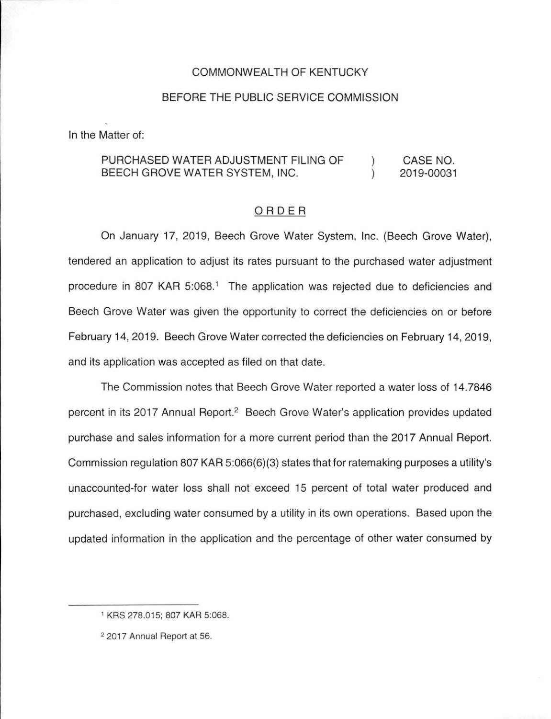### COMMONWEALTH OF KENTUCKY

#### BEFORE THE PUBLIC SERVICE COMMISSION

In the Matter of:

#### PURCHASED WATER ADJUSTMENT FILING OF  $\mathcal{L}$ CASE NO. BEECH GROVE WATER SYSTEM, INC.  $\mathcal{L}$ 2019-00031

#### ORDER

On January 17, 2019, Beech Grove Water System, Inc. (Beech Grove Water), tendered an application to adjust its rates pursuant to the purchased water adjustment procedure in 807 KAR 5:068.<sup>1</sup> The application was rejected due to deficiencies and Beech Grove Water was given the opportunity to correct the deficiencies on or before February 14, 2019. Beech Grove Water corrected the deficiencies on February 14, 2019, and its application was accepted as filed on that date.

The Commission notes that Beech Grove Water reported a water loss of 14.7846 percent in its 2017 Annual Report.<sup>2</sup> Beech Grove Water's application provides updated purchase and sales information for a more current period than the 2017 Annual Report. Commission regulation 807 KAR 5:066(6)(3) states that for ratemaking purposes a utility's unaccounted-for water loss shall not exceed 15 percent of total water produced and purchased, excluding water consumed by a utility in its own operations. Based upon the updated information in the application and the percentage of other water consumed by

<sup>1</sup>KRS 278.015; 807 KAR 5:068.

<sup>2</sup> 2017 Annual Report at 56.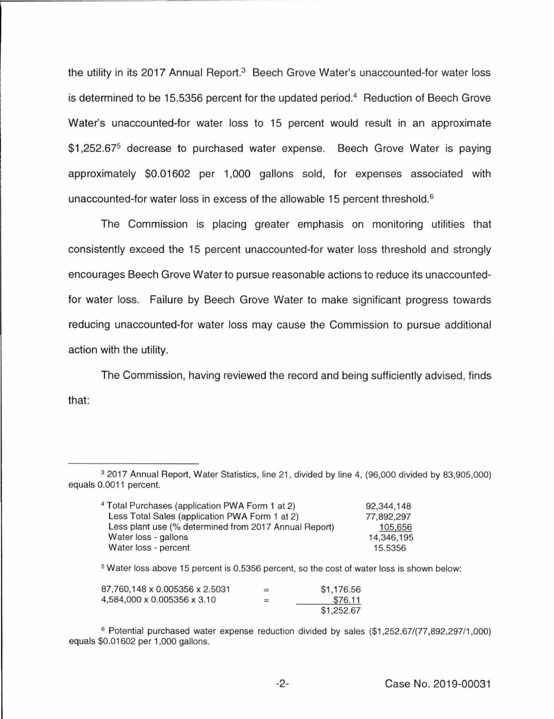the utility in its 2017 Annual Report.<sup>3</sup> Beech Grove Water's unaccounted-for water loss is determined to be 15.5356 percent for the updated period. 4 Reduction of Beech Grove Water's unaccounted-for water loss to 15 percent would result in an approximate \$1,252.67<sup>5</sup> decrease to purchased water expense. Beech Grove Water is paying approximately \$0.01602 per 1,000 gallons sold, for expenses associated with unaccounted-for water loss in excess of the allowable 15 percent threshold.<sup>6</sup>

The Commission is placing greater emphasis on monitoring utilities that consistently exceed the 15 percent unaccounted-for water loss threshold and strongly encourages Beech Grove Water to pursue reasonable actions to reduce its unaccountedfor water loss. Failure by Beech Grove Water to make significant progress towards reducing unaccounted-for water loss may cause the Commission to pursue additional action with the utility.

The Commission, having reviewed the record and being sufficiently advised, finds that:

<sup>3</sup>2017 Annual Report, Water Statistics, line 21, divided by line 4, (96,000 divided by 83,905,000) equals 0.0011 percent.

| <sup>4</sup> Total Purchases (application PWA Form 1 at 2) | 92,344,148 |
|------------------------------------------------------------|------------|
| Less Total Sales (application PWA Form 1 at 2)             | 77,892,297 |
| Less plant use (% determined from 2017 Annual Report)      | 105,656    |
| Water loss - gallons                                       | 14,346,195 |
| Water loss - percent                                       | 15.5356    |

<sup>5</sup>Water loss above 15 percent is 0.5356 percent, so the cost of water loss is shown below:

| 87,760,148 x 0,005356 x 2,5031 | $=$ | \$1,176.56 |
|--------------------------------|-----|------------|
| 4,584,000 x 0.005356 x 3.10    | $=$ | \$76.11    |
|                                |     | \$1,252,67 |

<sup>&</sup>lt;sup>6</sup> Potential purchased water expense reduction divided by sales (\$1,252.67/(77,892,297/1,000) equals \$0.01602 per 1,000 gallons.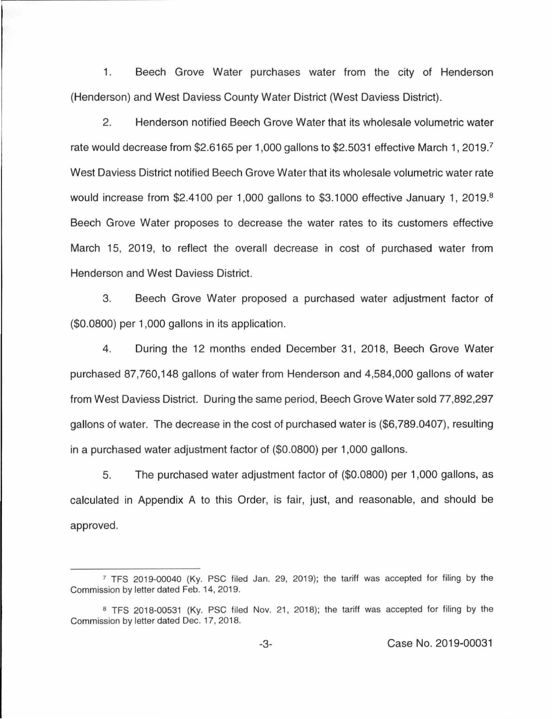1. Beech Grove Water purchases water from the city of Henderson (Henderson) and West Daviess County Water District (West Daviess District).

2. Henderson notified Beech Grove Water that its wholesale volumetric water rate would decrease from \$2.6165 per 1,000 gallons to \$2.5031 effective March 1, 2019. 7 West Daviess District notified Beech Grove Water that its wholesale volumetric water rate would increase from \$2.4100 per 1,000 gallons to \$3.1000 effective January 1, 2019.<sup>8</sup> Beech Grove Water proposes to decrease the water rates to its customers effective March 15, 2019, to reflect the overall decrease in cost of purchased water from Henderson and West Daviess District.

3. Beech Grove Water proposed a purchased water adjustment factor of (\$0.0800) per 1,000 gallons in its application.

4. During the 12 months ended December 31, 2018, Beech Grove Water purchased 87,760,148 gallons of water from Henderson and 4,584,000 gallons of water from West Daviess District. During the same period, Beech Grove Water sold 77,892,297 gallons of water. The decrease in the cost of purchased water is (\$6,789.0407), resulting in a purchased water adjustment factor of (\$0.0800) per 1,000 gallons.

5. The purchased water adjustment factor of (\$0.0800) per 1,000 gallons, as calculated in Appendix A to this Order, is fair, just, and reasonable, and should be approved.

 $7$  TFS 2019-00040 (Ky. PSC filed Jan. 29, 2019); the tariff was accepted for filing by the Commission by letter dated Feb. 14, 2019.

a TFS 2018-00531 (Ky. PSC filed Nov. 21, 2018); the tariff was accepted for filing by the Commission by letter dated Dec. 17, 2018.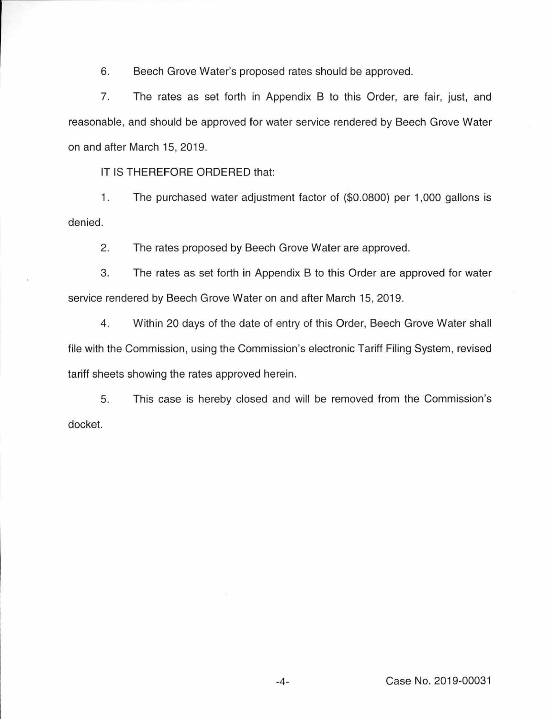6. Beech Grove Water's proposed rates should be approved.

7. The rates as set forth in Appendix B to this Order, are fair, just, and reasonable, and should be approved for water service rendered by Beech Grove Water on and after March 15, 2019.

IT IS THEREFORE ORDERED that:

1. The purchased water adjustment factor of (\$0.0800) per 1,000 gallons is denied.

2. The rates proposed by Beech Grove Water are approved.

3. The rates as set forth in Appendix B to this Order are approved for water service rendered by Beech Grove Water on and after March 15, 2019.

4. Within 20 days of the date of entry of this Order, Beech Grove Water shall file with the Commission, using the Commission's electronic Tariff Filing System, revised tariff sheets showing the rates approved herein.

5. This case is hereby closed and will be removed from the Commission's docket.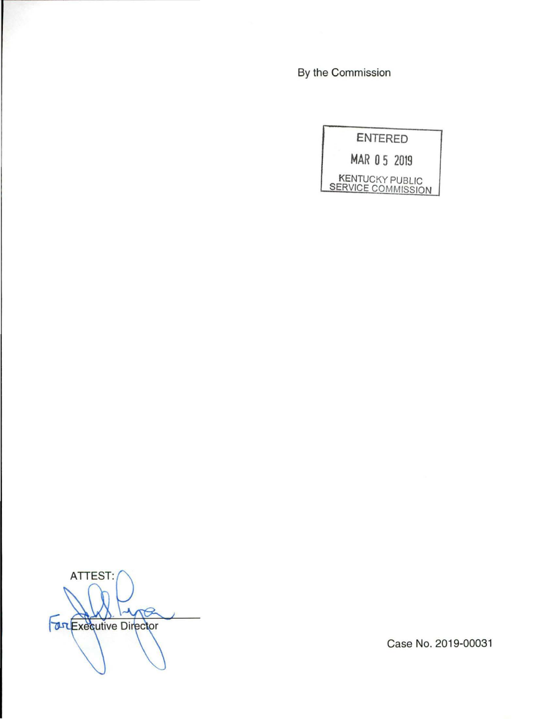By the Commission

**ENTERED MAR 0 5 2019**  KENTUCKY PUBLIC **SERVICE COMMISSION** 

ATTEST: *<u>Bruexecutive</u>* Director

Case No. 2019-00031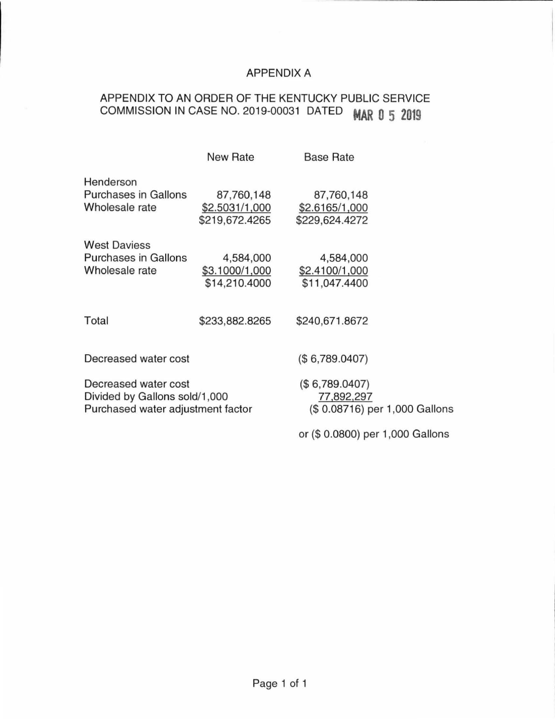# APPENDIX A

# APPENDIX TO AN ORDER OF THE KENTUCKY PUBLIC SERVICE COMMISSION IN CASE NO. 2019-00031 DATED **MAR 0 5 2019**

|                                                                                            | <b>New Rate</b>                                | <b>Base Rate</b>                                              |  |
|--------------------------------------------------------------------------------------------|------------------------------------------------|---------------------------------------------------------------|--|
| Henderson<br><b>Purchases in Gallons</b><br>Wholesale rate                                 | 87,760,148<br>\$2.5031/1,000<br>\$219,672.4265 | 87,760,148<br>\$2.6165/1,000<br>\$229,624.4272                |  |
| <b>West Daviess</b><br>Purchases in Gallons<br>Wholesale rate                              | 4,584,000<br>\$3.1000/1,000<br>\$14,210.4000   | 4,584,000<br>\$2.4100/1,000<br>\$11,047.4400                  |  |
| Total                                                                                      | \$233,882.8265                                 | \$240,671.8672                                                |  |
| Decreased water cost                                                                       |                                                | (\$6,789.0407)                                                |  |
| Decreased water cost<br>Divided by Gallons sold/1,000<br>Purchased water adjustment factor |                                                | (\$6,789.0407)<br>77,892,297<br>(\$0.08716) per 1,000 Gallons |  |
|                                                                                            |                                                | or (\$ 0.0800) per 1,000 Gallons                              |  |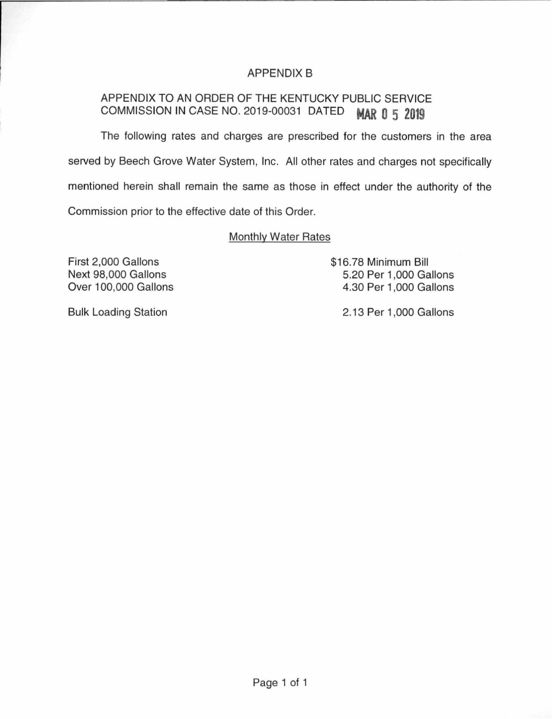# APPENDIX B

# APPENDIX TO AN ORDER OF THE KENTUCKY PUBLIC SERVICE COMMISSION IN CASE NO. 2019-00031 DATED **MAR 0 5 2019**

The following rates and charges are prescribed for the customers in the area served by Beech Grove Water System, Inc. All other rates and charges not specifically mentioned herein shall remain the same as those in effect under the authority of the Commission prior to the effective date of this Order.

## Monthly Water Rates

First 2,000 Gallons Next 98,000 Gallons Over 100,000 Gallons \$16.78 Minimum Bill 5.20 Per 1,000 Gallons 4.30 Per 1,000 Gallons

Bulk Loading Station

2.13 Per 1,000 Gallons